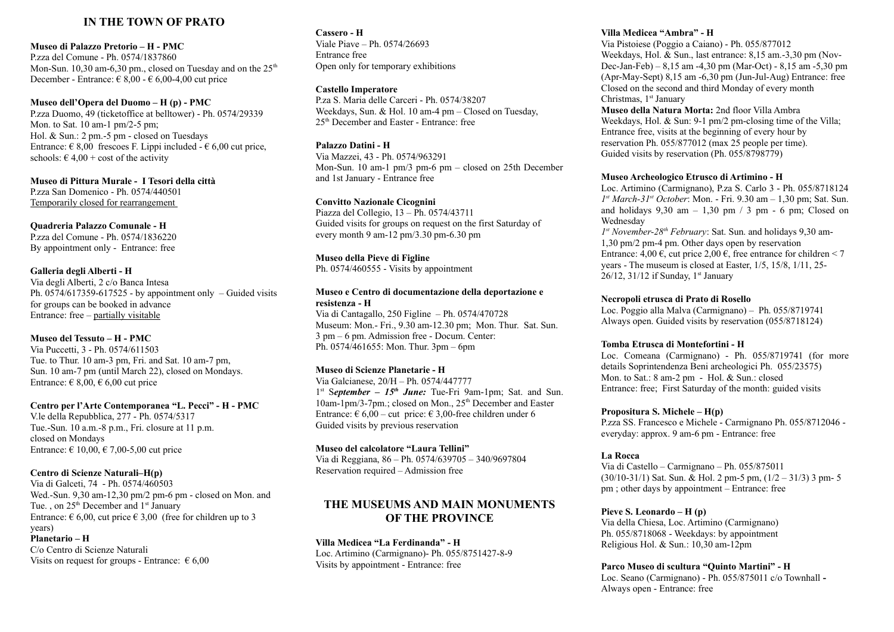### **IN THE TOWN OF PRATO**

#### **Museo di Palazzo Pretorio – H - PMC**

P.zza del Comune - Ph. 0574/1837860 Mon-Sun. 10,30 am-6,30 pm., closed on Tuesday and on the  $25<sup>th</sup>$ December - Entrance:  $\in 8,00$  -  $\in 6,00$ -4,00 cut price

**Museo dell'Opera del Duomo – H (p) - PMC** P.zza Duomo, 49 (ticketoffice at belltower) - Ph. 0574/29339 Mon. to Sat. 10 am-1 pm/2-5 pm; Hol. & Sun.: 2 pm.-5 pm - closed on Tuesdays Entrance:  $\epsilon$  8,00 frescoes F. Lippi included -  $\epsilon$  6,00 cut price, schools:  $\epsilon$  4,00 + cost of the activity

**Museo di Pittura Murale - I Tesori della città**  P.zza San Domenico - Ph. 0574/440501 Temporarily closed for rearrangement

**Quadreria Palazzo Comunale - H** P.zza del Comune - Ph. 0574/1836220 By appointment only - Entrance: free

**Galleria degli Alberti - H** Via degli Alberti, 2 c/o Banca Intesa Ph.  $0574/617359-617525$  - by appointment only – Guided visits for groups can be booked in advance Entrance: free – partially visitable

**Museo del Tessuto – H - PMC** Via Puccetti, 3 - Ph. 0574/611503 Tue. to Thur. 10 am-3 pm, Fri. and Sat. 10 am-7 pm, Sun. 10 am-7 pm (until March 22), closed on Mondays. Entrance:  $\in$  8,00,  $\in$  6,00 cut price

**Centro per l'Arte Contemporanea "L. Pecci" - H - PMC** V.le della Repubblica, 277 - Ph. 0574/5317 Tue.-Sun. 10 a.m.-8 p.m., Fri. closure at 11 p.m. closed on Mondays Entrance:  $\in$  10,00,  $\in$  7,00-5,00 cut price

#### **Centro di Scienze Naturali–H(p)**

Via di Galceti, 74 - Ph. 0574/460503 Wed.-Sun. 9,30 am-12,30 pm/2 pm-6 pm - closed on Mon. and Tue. , on  $25<sup>th</sup>$  December and  $1<sup>st</sup>$  January Entrance:  $\epsilon$  6,00, cut price  $\epsilon$  3,00 (free for children up to 3 years)

#### **Planetario – H** C/o Centro di Scienze Naturali Visits on request for groups - Entrance:  $\epsilon$  6,00

**Cassero - H**  Viale Piave – Ph. 0574/26693 Entrance free Open only for temporary exhibitions

**Castello Imperatore**

P.za S. Maria delle Carceri - Ph. 0574/38207 Weekdays, Sun. & Hol. 10 am-4 pm – Closed on Tuesday, 25th December and Easter - Entrance: free

**Palazzo Datini - H** Via Mazzei, 43 - Ph. 0574/963291 Mon-Sun. 10 am-1 pm/3 pm-6 pm – closed on 25th December and 1st January - Entrance free

**Convitto Nazionale Cicognini** Piazza del Collegio, 13 – Ph. 0574/43711 Guided visits for groups on request on the first Saturday of every month 9 am-12 pm/3.30 pm-6.30 pm

**Museo della Pieve di Figline** Ph. 0574/460555 - Visits by appointment

#### **Museo e Centro di documentazione della deportazione e resistenza - H**

Via di Cantagallo, 250 Figline – Ph. 0574/470728 Museum: Mon.- Fri., 9.30 am-12.30 pm; Mon. Thur. Sat. Sun. 3 pm – 6 pm. Admission free - Docum. Center: Ph. 0574/461655: Mon. Thur. 3pm – 6pm

#### **Museo di Scienze Planetarie - H**

Via Galcianese, 20/H – Ph. 0574/447777 1 st S*eptember – 15th June:* Tue-Fri 9am-1pm; Sat. and Sun.  $10$ am-1pm/3-7pm.; closed on Mon.,  $25<sup>th</sup>$  December and Easter Entrance:  $\epsilon$  6,00 – cut price:  $\epsilon$  3,00-free children under 6 Guided visits by previous reservation

**Museo del calcolatore "Laura Tellini"**

Via di Reggiana, 86 – Ph. 0574/639705 – 340/9697804 Reservation required – Admission free

# **THE MUSEUMS AND MAIN MONUMENTS OF THE PROVINCE**

**Villa Medicea "La Ferdinanda" - H** Loc. Artimino (Carmignano)- Ph. 055/8751427-8-9 Visits by appointment - Entrance: free

#### **Villa Medicea "Ambra" - H**

Via Pistoiese (Poggio a Caiano) - Ph. 055/877012 Weekdays, Hol. & Sun., last entrance: 8,15 am.-3,30 pm (Nov-Dec-Jan-Feb) – 8,15 am -4,30 pm (Mar-Oct) - 8,15 am -5,30 pm (Apr-May-Sept) 8,15 am -6,30 pm (Jun-Jul-Aug) Entrance: free Closed on the second and third Monday of every month Christmas, 1<sup>st</sup> January

**Museo della Natura Morta:** 2nd floor Villa Ambra Weekdays, Hol. & Sun: 9-1 pm/2 pm-closing time of the Villa; Entrance free, visits at the beginning of every hour by reservation Ph. 055/877012 (max 25 people per time). Guided visits by reservation (Ph. 055/8798779)

#### **Museo Archeologico Etrusco di Artimino - H**

Loc. Artimino (Carmignano), P.za S. Carlo 3 - Ph. 055/8718124 *1 st March-31st October*: Mon. - Fri. 9.30 am – 1,30 pm; Sat. Sun. and holidays  $9,30$  am  $-1,30$  pm  $/3$  pm  $-6$  pm; Closed on Wednesday

*1 st November-28th February*: Sat. Sun. and holidays 9,30 am-1,30 pm/2 pm-4 pm. Other days open by reservation Entrance:  $4.00 \in \text{cut price } 2.00 \in \text{free}$  entrance for children < 7 years - The museum is closed at Easter, 1/5, 15/8, 1/11, 25- 26/12, 31/12 if Sunday,  $1<sup>st</sup>$  January

#### **Necropoli etrusca di Prato di Rosello**

Loc. Poggio alla Malva (Carmignano) – Ph. 055/8719741 Always open. Guided visits by reservation (055/8718124)

#### **Tomba Etrusca di Montefortini - H**

Loc. Comeana (Carmignano) - Ph. 055/8719741 (for more details Soprintendenza Beni archeologici Ph. 055/23575) Mon. to Sat.: 8 am-2 pm - Hol. & Sun.: closed Entrance: free; First Saturday of the month: guided visits

#### **Propositura S. Michele – H(p)**

P.zza SS. Francesco e Michele - Carmignano Ph. 055/8712046 everyday: approx. 9 am-6 pm - Entrance: free

#### **La Rocca**

Via di Castello – Carmignano – Ph. 055/875011  $(30/10-31/1)$  Sat. Sun. & Hol. 2 pm-5 pm,  $(1/2 - 31/3)$  3 pm-5 pm ; other days by appointment – Entrance: free

#### **Pieve S. Leonardo – H (p)**

Via della Chiesa, Loc. Artimino (Carmignano) Ph. 055/8718068 - Weekdays: by appointment Religious Hol. & Sun.: 10,30 am-12pm

**Parco Museo di scultura "Quinto Martini" - H**

Loc. Seano (Carmignano) - Ph. 055/875011 c/o Townhall **-**  Always open - Entrance: free